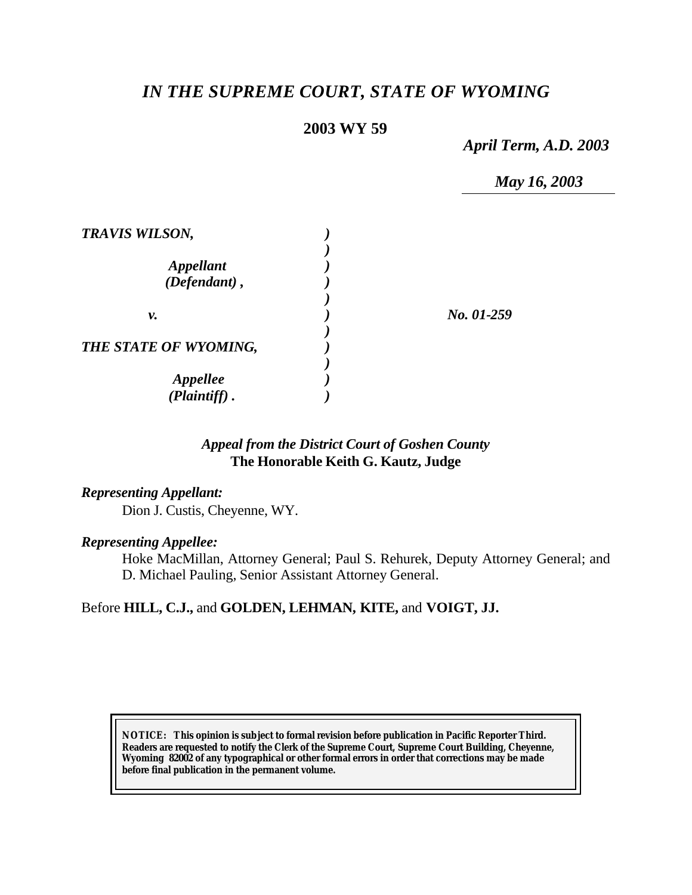# *IN THE SUPREME COURT, STATE OF WYOMING*

## **2003 WY 59**

*April Term, A.D. 2003*

*May 16, 2003*

| <b>TRAVIS WILSON,</b>                      |            |
|--------------------------------------------|------------|
| <i><b>Appellant</b></i><br>$(Defendant)$ , |            |
| ν.                                         | No. 01-259 |
| THE STATE OF WYOMING,                      |            |
| <b>Appellee</b><br>(Plaintiff).            |            |

## *Appeal from the District Court of Goshen County* **The Honorable Keith G. Kautz, Judge**

### *Representing Appellant:*

Dion J. Custis, Cheyenne, WY.

### *Representing Appellee:*

Hoke MacMillan, Attorney General; Paul S. Rehurek, Deputy Attorney General; and D. Michael Pauling, Senior Assistant Attorney General.

## Before **HILL, C.J.,** and **GOLDEN, LEHMAN, KITE,** and **VOIGT, JJ.**

**NOTICE:** *This opinion is subject to formal revision before publication in Pacific Reporter Third. Readers are requested to notify the Clerk of the Supreme Court, Supreme Court Building, Cheyenne, Wyoming 82002 of any typographical or other formal errors in order that corrections may be made before final publication in the permanent volume.*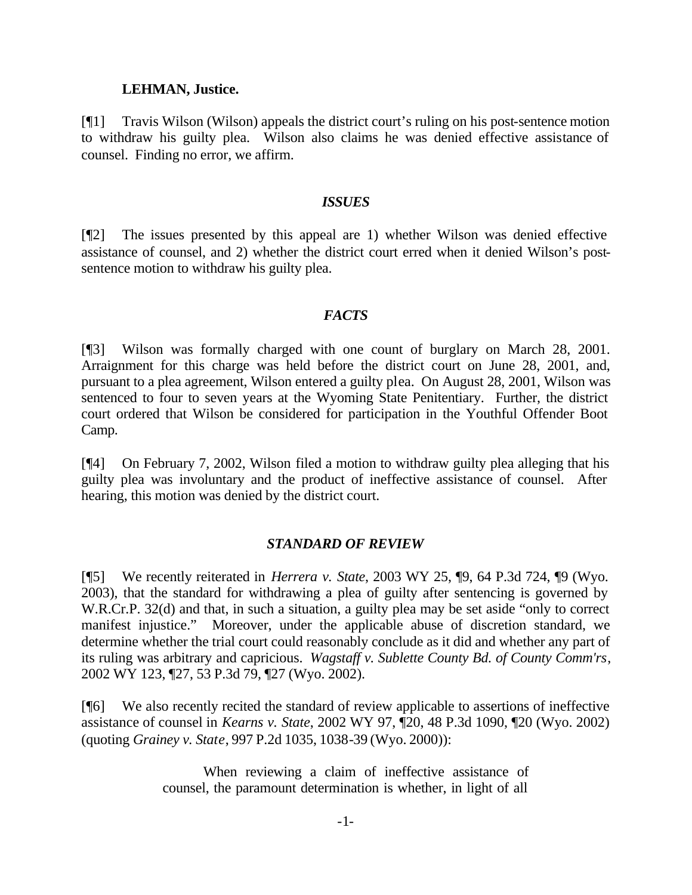#### **LEHMAN, Justice.**

[¶1] Travis Wilson (Wilson) appeals the district court's ruling on his post-sentence motion to withdraw his guilty plea. Wilson also claims he was denied effective assistance of counsel. Finding no error, we affirm.

#### *ISSUES*

[¶2] The issues presented by this appeal are 1) whether Wilson was denied effective assistance of counsel, and 2) whether the district court erred when it denied Wilson's postsentence motion to withdraw his guilty plea.

### *FACTS*

[¶3] Wilson was formally charged with one count of burglary on March 28, 2001. Arraignment for this charge was held before the district court on June 28, 2001, and, pursuant to a plea agreement, Wilson entered a guilty plea. On August 28, 2001, Wilson was sentenced to four to seven years at the Wyoming State Penitentiary. Further, the district court ordered that Wilson be considered for participation in the Youthful Offender Boot Camp.

[¶4] On February 7, 2002, Wilson filed a motion to withdraw guilty plea alleging that his guilty plea was involuntary and the product of ineffective assistance of counsel. After hearing, this motion was denied by the district court.

### *STANDARD OF REVIEW*

[¶5] We recently reiterated in *Herrera v. State*, 2003 WY 25, ¶9, 64 P.3d 724, ¶9 (Wyo. 2003), that the standard for withdrawing a plea of guilty after sentencing is governed by W.R.Cr.P. 32(d) and that, in such a situation, a guilty plea may be set aside "only to correct manifest injustice." Moreover, under the applicable abuse of discretion standard, we determine whether the trial court could reasonably conclude as it did and whether any part of its ruling was arbitrary and capricious. *Wagstaff v. Sublette County Bd. of County Comm'rs*, 2002 WY 123, ¶27, 53 P.3d 79, ¶27 (Wyo. 2002).

[¶6] We also recently recited the standard of review applicable to assertions of ineffective assistance of counsel in *Kearns v. State*, 2002 WY 97, ¶20, 48 P.3d 1090, ¶20 (Wyo. 2002) (quoting *Grainey v. State*, 997 P.2d 1035, 1038-39 (Wyo. 2000)):

> When reviewing a claim of ineffective assistance of counsel, the paramount determination is whether, in light of all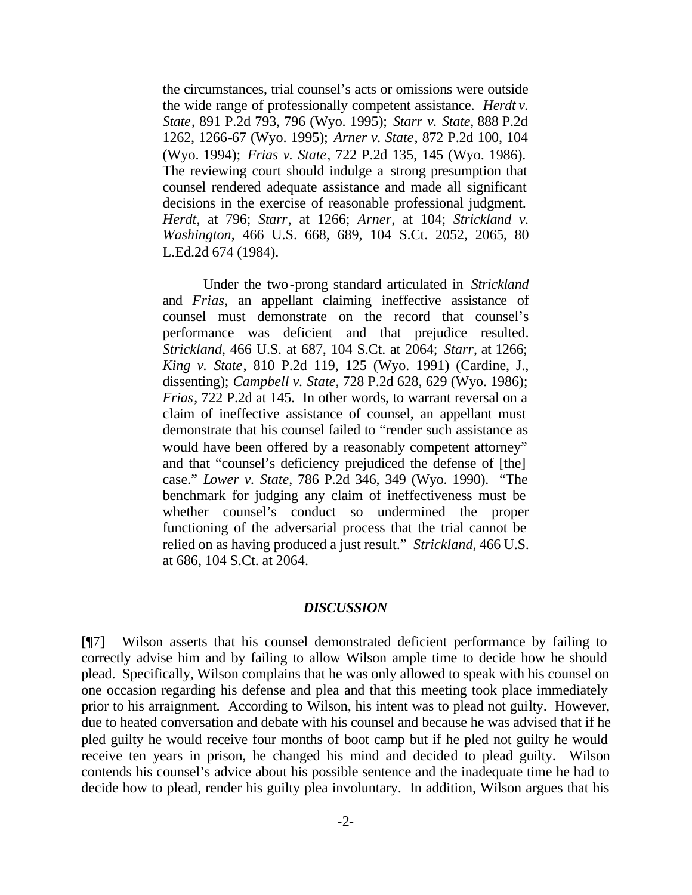the circumstances, trial counsel's acts or omissions were outside the wide range of professionally competent assistance. *Herdt v. State*, 891 P.2d 793, 796 (Wyo. 1995); *Starr v. State*, 888 P.2d 1262, 1266-67 (Wyo. 1995); *Arner v. State*, 872 P.2d 100, 104 (Wyo. 1994); *Frias v. State*, 722 P.2d 135, 145 (Wyo. 1986). The reviewing court should indulge a strong presumption that counsel rendered adequate assistance and made all significant decisions in the exercise of reasonable professional judgment. *Herdt*, at 796; *Starr*, at 1266; *Arner*, at 104; *Strickland v. Washington*, 466 U.S. 668, 689, 104 S.Ct. 2052, 2065, 80 L.Ed.2d 674 (1984).

Under the two-prong standard articulated in *Strickland* and *Frias*, an appellant claiming ineffective assistance of counsel must demonstrate on the record that counsel's performance was deficient and that prejudice resulted. *Strickland*, 466 U.S. at 687, 104 S.Ct. at 2064; *Starr*, at 1266; *King v. State*, 810 P.2d 119, 125 (Wyo. 1991) (Cardine, J., dissenting); *Campbell v. State*, 728 P.2d 628, 629 (Wyo. 1986); *Frias*, 722 P.2d at 145. In other words, to warrant reversal on a claim of ineffective assistance of counsel, an appellant must demonstrate that his counsel failed to "render such assistance as would have been offered by a reasonably competent attorney" and that "counsel's deficiency prejudiced the defense of [the] case." *Lower v. State*, 786 P.2d 346, 349 (Wyo. 1990). "The benchmark for judging any claim of ineffectiveness must be whether counsel's conduct so undermined the proper functioning of the adversarial process that the trial cannot be relied on as having produced a just result." *Strickland*, 466 U.S. at 686, 104 S.Ct. at 2064.

#### *DISCUSSION*

[¶7] Wilson asserts that his counsel demonstrated deficient performance by failing to correctly advise him and by failing to allow Wilson ample time to decide how he should plead. Specifically, Wilson complains that he was only allowed to speak with his counsel on one occasion regarding his defense and plea and that this meeting took place immediately prior to his arraignment. According to Wilson, his intent was to plead not guilty. However, due to heated conversation and debate with his counsel and because he was advised that if he pled guilty he would receive four months of boot camp but if he pled not guilty he would receive ten years in prison, he changed his mind and decided to plead guilty. Wilson contends his counsel's advice about his possible sentence and the inadequate time he had to decide how to plead, render his guilty plea involuntary. In addition, Wilson argues that his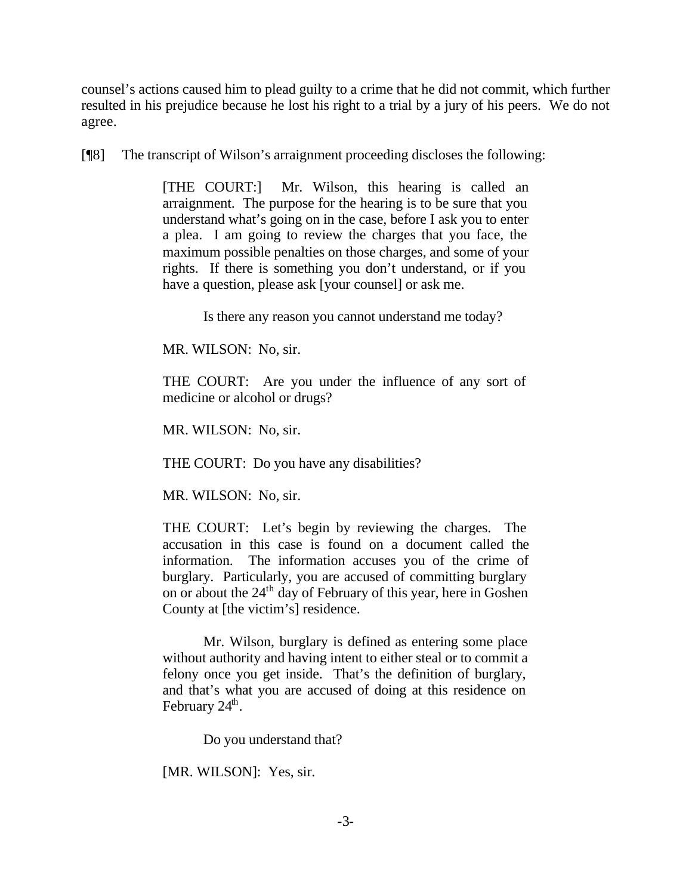counsel's actions caused him to plead guilty to a crime that he did not commit, which further resulted in his prejudice because he lost his right to a trial by a jury of his peers. We do not agree.

[¶8] The transcript of Wilson's arraignment proceeding discloses the following:

[THE COURT:] Mr. Wilson, this hearing is called an arraignment. The purpose for the hearing is to be sure that you understand what's going on in the case, before I ask you to enter a plea. I am going to review the charges that you face, the maximum possible penalties on those charges, and some of your rights. If there is something you don't understand, or if you have a question, please ask [your counsel] or ask me.

Is there any reason you cannot understand me today?

MR. WILSON: No, sir.

THE COURT: Are you under the influence of any sort of medicine or alcohol or drugs?

MR. WILSON: No, sir.

THE COURT: Do you have any disabilities?

MR. WILSON: No, sir.

THE COURT: Let's begin by reviewing the charges. The accusation in this case is found on a document called the information. The information accuses you of the crime of burglary. Particularly, you are accused of committing burglary on or about the 24<sup>th</sup> day of February of this year, here in Goshen County at [the victim's] residence.

Mr. Wilson, burglary is defined as entering some place without authority and having intent to either steal or to commit a felony once you get inside. That's the definition of burglary, and that's what you are accused of doing at this residence on February  $24^{\text{th}}$ .

Do you understand that?

[MR. WILSON]: Yes, sir.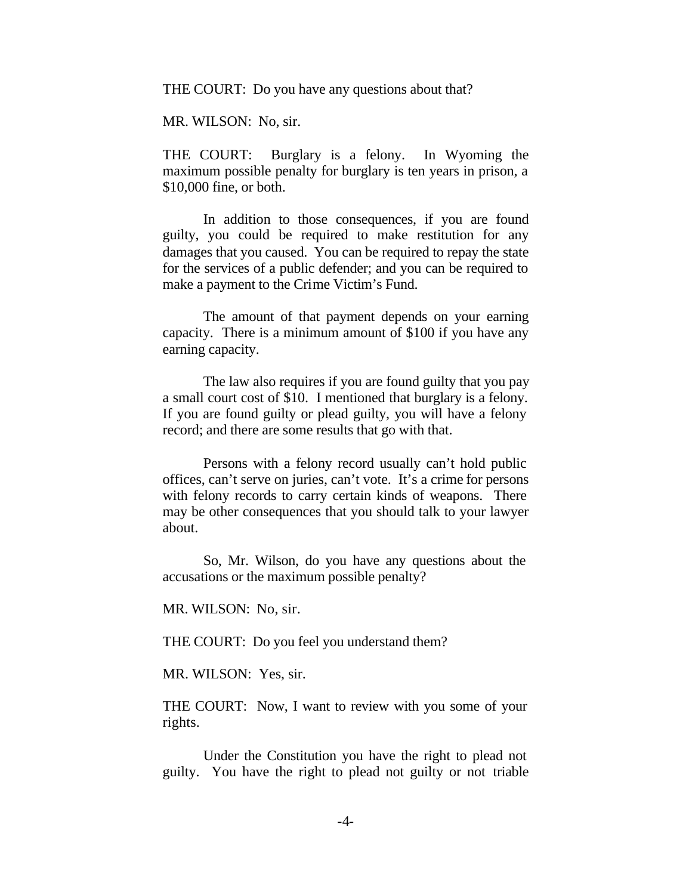THE COURT: Do you have any questions about that?

MR. WILSON: No, sir.

THE COURT: Burglary is a felony. In Wyoming the maximum possible penalty for burglary is ten years in prison, a \$10,000 fine, or both.

In addition to those consequences, if you are found guilty, you could be required to make restitution for any damages that you caused. You can be required to repay the state for the services of a public defender; and you can be required to make a payment to the Crime Victim's Fund.

The amount of that payment depends on your earning capacity. There is a minimum amount of \$100 if you have any earning capacity.

The law also requires if you are found guilty that you pay a small court cost of \$10. I mentioned that burglary is a felony. If you are found guilty or plead guilty, you will have a felony record; and there are some results that go with that.

Persons with a felony record usually can't hold public offices, can't serve on juries, can't vote. It's a crime for persons with felony records to carry certain kinds of weapons. There may be other consequences that you should talk to your lawyer about.

So, Mr. Wilson, do you have any questions about the accusations or the maximum possible penalty?

MR. WILSON: No, sir.

THE COURT: Do you feel you understand them?

MR. WILSON: Yes, sir.

THE COURT: Now, I want to review with you some of your rights.

Under the Constitution you have the right to plead not guilty. You have the right to plead not guilty or not triable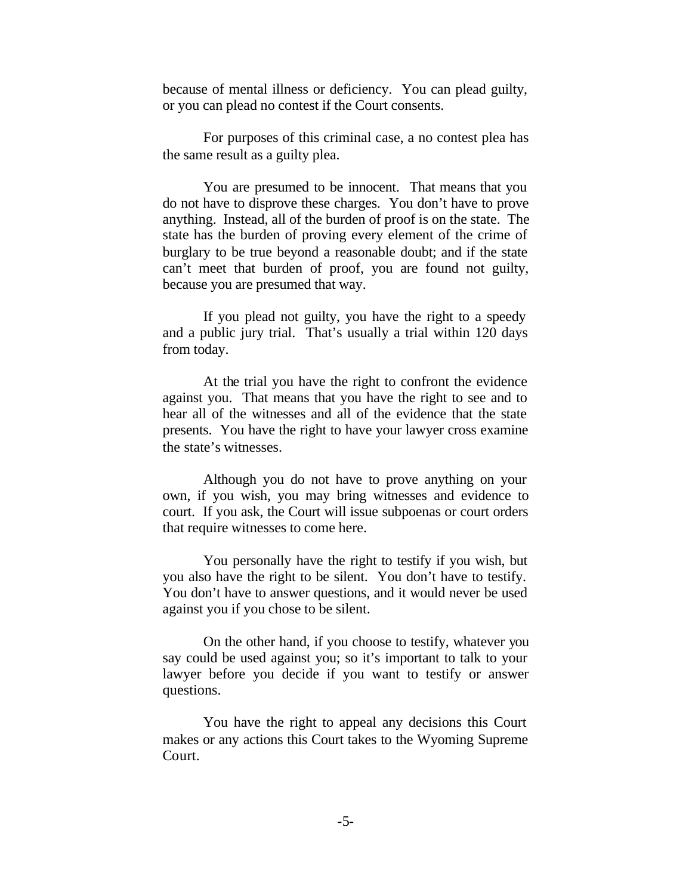because of mental illness or deficiency. You can plead guilty, or you can plead no contest if the Court consents.

For purposes of this criminal case, a no contest plea has the same result as a guilty plea.

You are presumed to be innocent. That means that you do not have to disprove these charges. You don't have to prove anything. Instead, all of the burden of proof is on the state. The state has the burden of proving every element of the crime of burglary to be true beyond a reasonable doubt; and if the state can't meet that burden of proof, you are found not guilty, because you are presumed that way.

If you plead not guilty, you have the right to a speedy and a public jury trial. That's usually a trial within 120 days from today.

At the trial you have the right to confront the evidence against you. That means that you have the right to see and to hear all of the witnesses and all of the evidence that the state presents. You have the right to have your lawyer cross examine the state's witnesses.

Although you do not have to prove anything on your own, if you wish, you may bring witnesses and evidence to court. If you ask, the Court will issue subpoenas or court orders that require witnesses to come here.

You personally have the right to testify if you wish, but you also have the right to be silent. You don't have to testify. You don't have to answer questions, and it would never be used against you if you chose to be silent.

On the other hand, if you choose to testify, whatever you say could be used against you; so it's important to talk to your lawyer before you decide if you want to testify or answer questions.

You have the right to appeal any decisions this Court makes or any actions this Court takes to the Wyoming Supreme Court.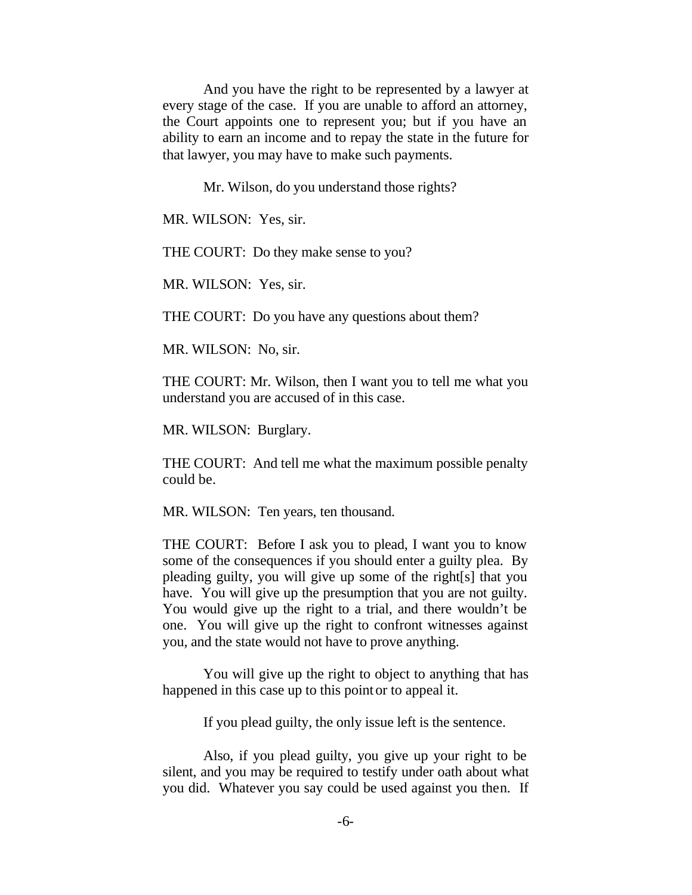And you have the right to be represented by a lawyer at every stage of the case. If you are unable to afford an attorney, the Court appoints one to represent you; but if you have an ability to earn an income and to repay the state in the future for that lawyer, you may have to make such payments.

Mr. Wilson, do you understand those rights?

MR. WILSON: Yes, sir.

THE COURT: Do they make sense to you?

MR. WILSON: Yes, sir.

THE COURT: Do you have any questions about them?

MR. WILSON: No, sir.

THE COURT: Mr. Wilson, then I want you to tell me what you understand you are accused of in this case.

MR. WILSON: Burglary.

THE COURT: And tell me what the maximum possible penalty could be.

MR. WILSON: Ten years, ten thousand.

THE COURT: Before I ask you to plead, I want you to know some of the consequences if you should enter a guilty plea. By pleading guilty, you will give up some of the right[s] that you have. You will give up the presumption that you are not guilty. You would give up the right to a trial, and there wouldn't be one. You will give up the right to confront witnesses against you, and the state would not have to prove anything.

You will give up the right to object to anything that has happened in this case up to this point or to appeal it.

If you plead guilty, the only issue left is the sentence.

Also, if you plead guilty, you give up your right to be silent, and you may be required to testify under oath about what you did. Whatever you say could be used against you then. If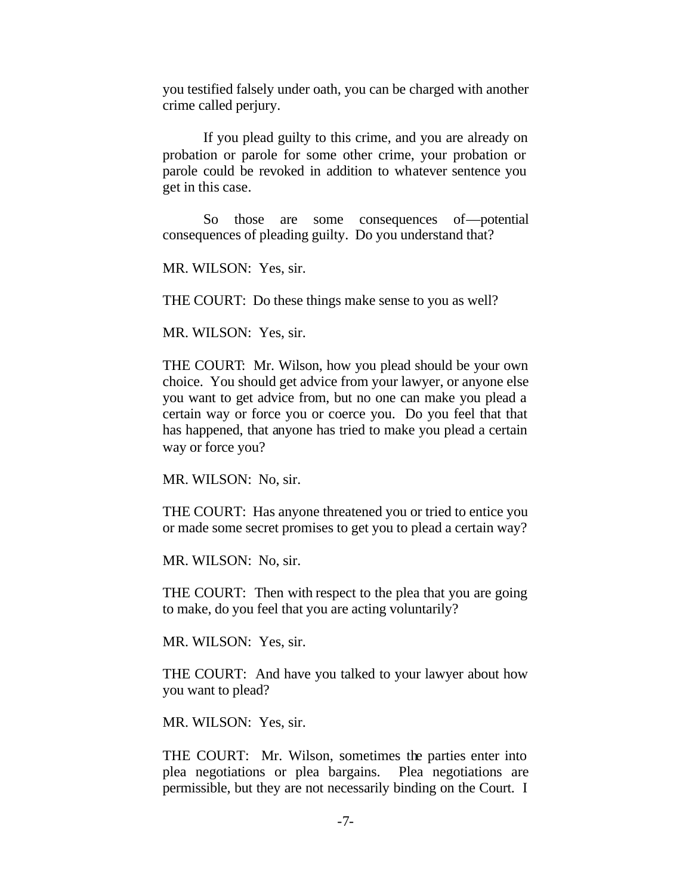you testified falsely under oath, you can be charged with another crime called perjury.

If you plead guilty to this crime, and you are already on probation or parole for some other crime, your probation or parole could be revoked in addition to whatever sentence you get in this case.

So those are some consequences of—potential consequences of pleading guilty. Do you understand that?

MR. WILSON: Yes, sir.

THE COURT: Do these things make sense to you as well?

MR. WILSON: Yes, sir.

THE COURT: Mr. Wilson, how you plead should be your own choice. You should get advice from your lawyer, or anyone else you want to get advice from, but no one can make you plead a certain way or force you or coerce you. Do you feel that that has happened, that anyone has tried to make you plead a certain way or force you?

MR. WILSON: No, sir.

THE COURT: Has anyone threatened you or tried to entice you or made some secret promises to get you to plead a certain way?

MR. WILSON: No, sir.

THE COURT: Then with respect to the plea that you are going to make, do you feel that you are acting voluntarily?

MR. WILSON: Yes, sir.

THE COURT: And have you talked to your lawyer about how you want to plead?

MR. WILSON: Yes, sir.

THE COURT: Mr. Wilson, sometimes the parties enter into plea negotiations or plea bargains. Plea negotiations are permissible, but they are not necessarily binding on the Court. I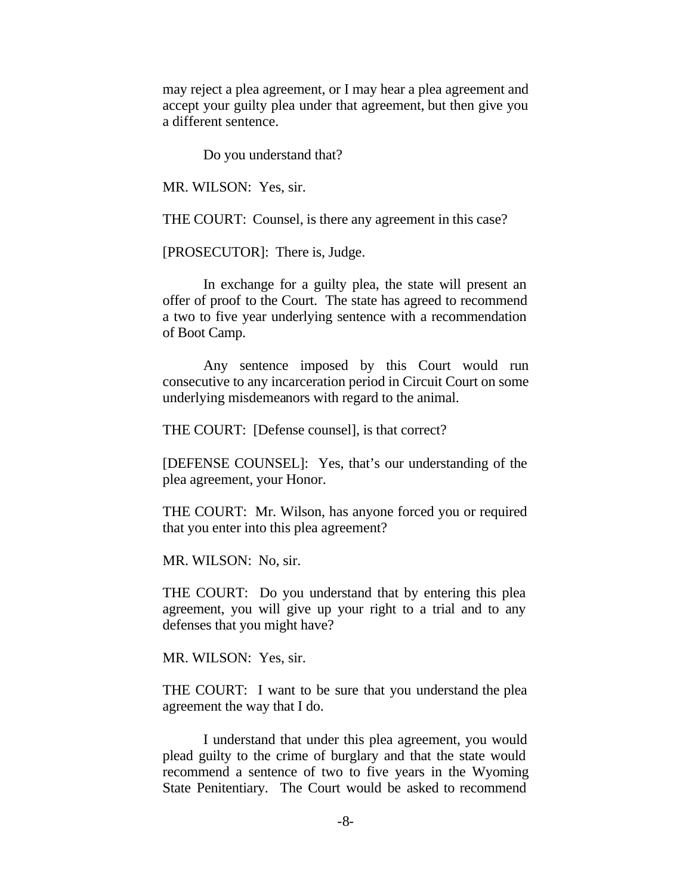may reject a plea agreement, or I may hear a plea agreement and accept your guilty plea under that agreement, but then give you a different sentence.

Do you understand that?

MR. WILSON: Yes, sir.

THE COURT: Counsel, is there any agreement in this case?

[PROSECUTOR]: There is, Judge.

In exchange for a guilty plea, the state will present an offer of proof to the Court. The state has agreed to recommend a two to five year underlying sentence with a recommendation of Boot Camp.

Any sentence imposed by this Court would run consecutive to any incarceration period in Circuit Court on some underlying misdemeanors with regard to the animal.

THE COURT: [Defense counsel], is that correct?

[DEFENSE COUNSEL]: Yes, that's our understanding of the plea agreement, your Honor.

THE COURT: Mr. Wilson, has anyone forced you or required that you enter into this plea agreement?

MR. WILSON: No, sir.

THE COURT: Do you understand that by entering this plea agreement, you will give up your right to a trial and to any defenses that you might have?

MR. WILSON: Yes, sir.

THE COURT: I want to be sure that you understand the plea agreement the way that I do.

I understand that under this plea agreement, you would plead guilty to the crime of burglary and that the state would recommend a sentence of two to five years in the Wyoming State Penitentiary. The Court would be asked to recommend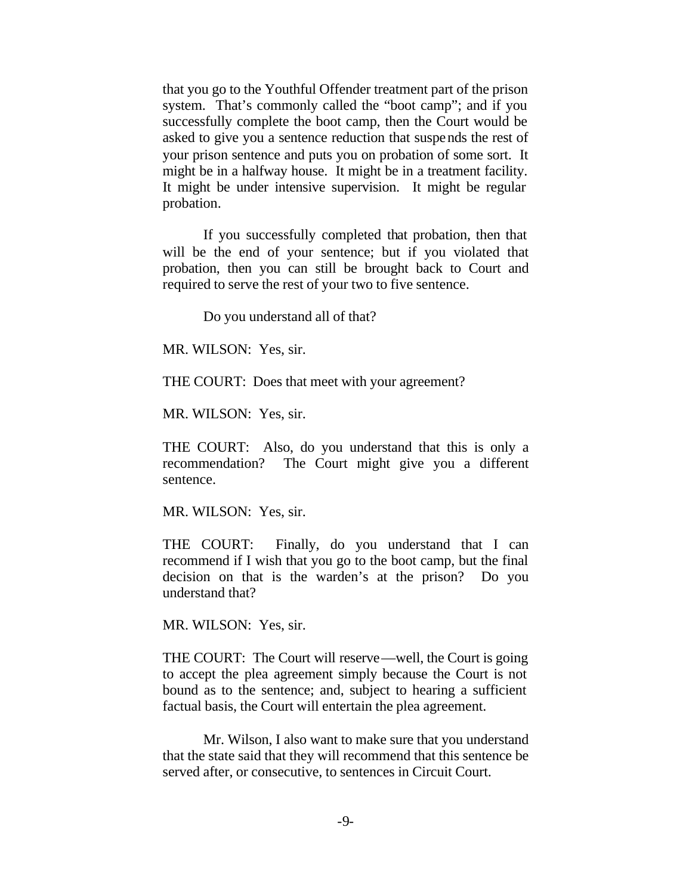that you go to the Youthful Offender treatment part of the prison system. That's commonly called the "boot camp"; and if you successfully complete the boot camp, then the Court would be asked to give you a sentence reduction that suspends the rest of your prison sentence and puts you on probation of some sort. It might be in a halfway house. It might be in a treatment facility. It might be under intensive supervision. It might be regular probation.

If you successfully completed that probation, then that will be the end of your sentence; but if you violated that probation, then you can still be brought back to Court and required to serve the rest of your two to five sentence.

Do you understand all of that?

MR. WILSON: Yes, sir.

THE COURT: Does that meet with your agreement?

MR. WILSON: Yes, sir.

THE COURT: Also, do you understand that this is only a recommendation? The Court might give you a different sentence.

MR. WILSON: Yes, sir.

THE COURT: Finally, do you understand that I can recommend if I wish that you go to the boot camp, but the final decision on that is the warden's at the prison? Do you understand that?

MR. WILSON: Yes, sir.

THE COURT: The Court will reserve—well, the Court is going to accept the plea agreement simply because the Court is not bound as to the sentence; and, subject to hearing a sufficient factual basis, the Court will entertain the plea agreement.

Mr. Wilson, I also want to make sure that you understand that the state said that they will recommend that this sentence be served after, or consecutive, to sentences in Circuit Court.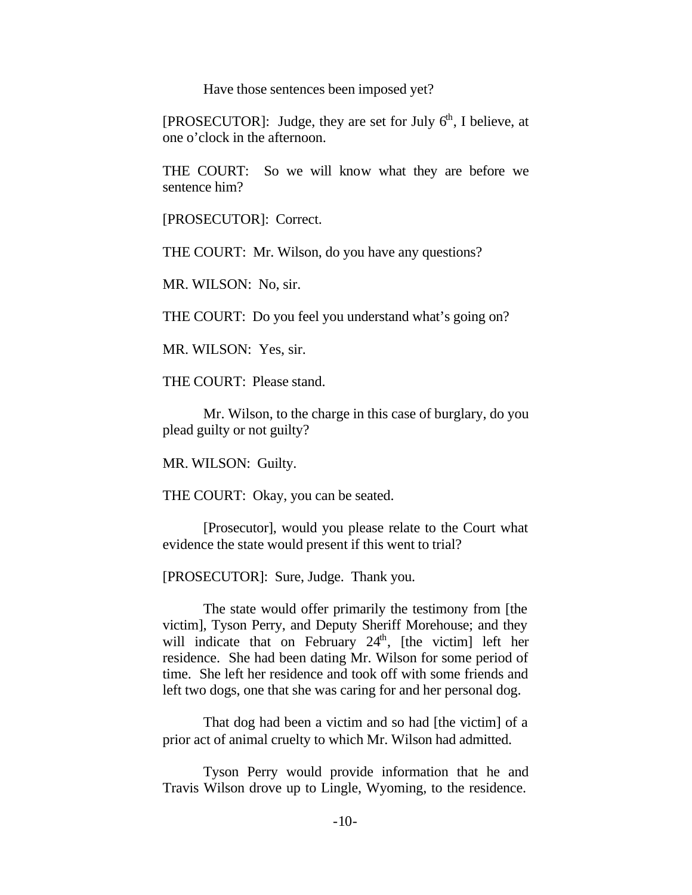Have those sentences been imposed yet?

[PROSECUTOR]: Judge, they are set for July  $6<sup>th</sup>$ , I believe, at one o'clock in the afternoon.

THE COURT: So we will know what they are before we sentence him?

[PROSECUTOR]: Correct.

THE COURT: Mr. Wilson, do you have any questions?

MR. WILSON: No, sir.

THE COURT: Do you feel you understand what's going on?

MR. WILSON: Yes, sir.

THE COURT: Please stand.

Mr. Wilson, to the charge in this case of burglary, do you plead guilty or not guilty?

MR. WILSON: Guilty.

THE COURT: Okay, you can be seated.

[Prosecutor], would you please relate to the Court what evidence the state would present if this went to trial?

[PROSECUTOR]: Sure, Judge. Thank you.

The state would offer primarily the testimony from [the victim], Tyson Perry, and Deputy Sheriff Morehouse; and they will indicate that on February  $24<sup>th</sup>$ , [the victim] left her residence. She had been dating Mr. Wilson for some period of time. She left her residence and took off with some friends and left two dogs, one that she was caring for and her personal dog.

That dog had been a victim and so had [the victim] of a prior act of animal cruelty to which Mr. Wilson had admitted.

Tyson Perry would provide information that he and Travis Wilson drove up to Lingle, Wyoming, to the residence.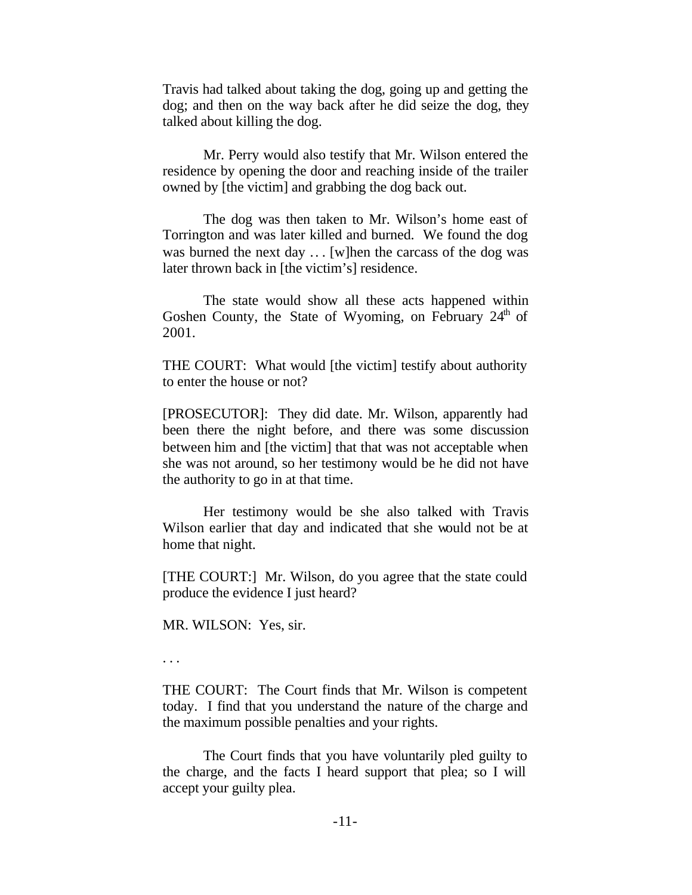Travis had talked about taking the dog, going up and getting the dog; and then on the way back after he did seize the dog, they talked about killing the dog.

Mr. Perry would also testify that Mr. Wilson entered the residence by opening the door and reaching inside of the trailer owned by [the victim] and grabbing the dog back out.

The dog was then taken to Mr. Wilson's home east of Torrington and was later killed and burned. We found the dog was burned the next day .. . [w]hen the carcass of the dog was later thrown back in [the victim's] residence.

The state would show all these acts happened within Goshen County, the State of Wyoming, on February  $24<sup>th</sup>$  of 2001.

THE COURT: What would [the victim] testify about authority to enter the house or not?

[PROSECUTOR]: They did date. Mr. Wilson, apparently had been there the night before, and there was some discussion between him and [the victim] that that was not acceptable when she was not around, so her testimony would be he did not have the authority to go in at that time.

Her testimony would be she also talked with Travis Wilson earlier that day and indicated that she would not be at home that night.

[THE COURT:] Mr. Wilson, do you agree that the state could produce the evidence I just heard?

MR. WILSON: Yes, sir.

. . .

THE COURT: The Court finds that Mr. Wilson is competent today. I find that you understand the nature of the charge and the maximum possible penalties and your rights.

The Court finds that you have voluntarily pled guilty to the charge, and the facts I heard support that plea; so I will accept your guilty plea.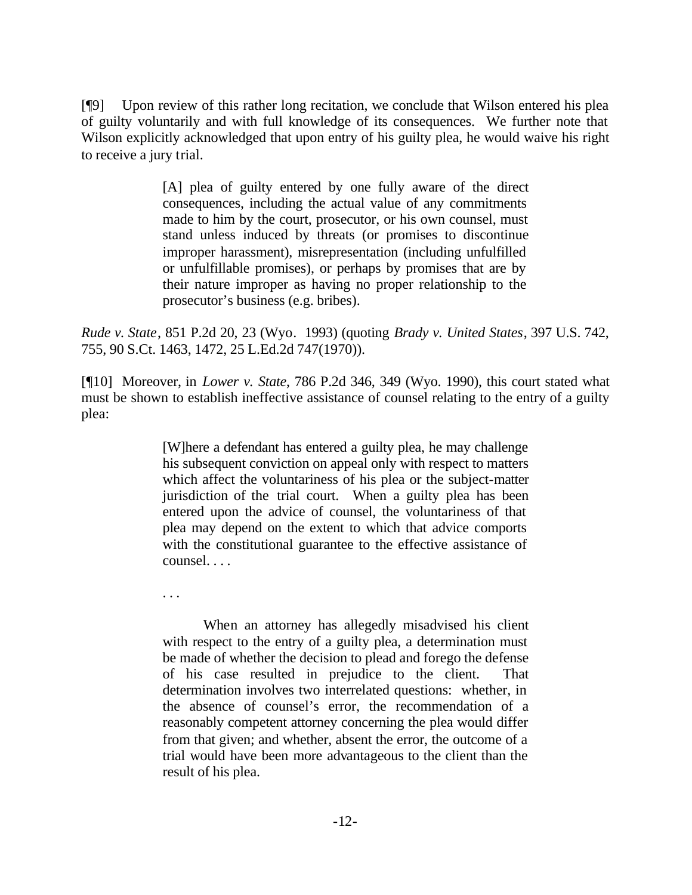[¶9] Upon review of this rather long recitation, we conclude that Wilson entered his plea of guilty voluntarily and with full knowledge of its consequences. We further note that Wilson explicitly acknowledged that upon entry of his guilty plea, he would waive his right to receive a jury trial.

> [A] plea of guilty entered by one fully aware of the direct consequences, including the actual value of any commitments made to him by the court, prosecutor, or his own counsel, must stand unless induced by threats (or promises to discontinue improper harassment), misrepresentation (including unfulfilled or unfulfillable promises), or perhaps by promises that are by their nature improper as having no proper relationship to the prosecutor's business (e.g. bribes).

*Rude v. State*, 851 P.2d 20, 23 (Wyo. 1993) (quoting *Brady v. United States*, 397 U.S. 742, 755, 90 S.Ct. 1463, 1472, 25 L.Ed.2d 747(1970)).

[¶10] Moreover, in *Lower v. State*, 786 P.2d 346, 349 (Wyo. 1990), this court stated what must be shown to establish ineffective assistance of counsel relating to the entry of a guilty plea:

> [W]here a defendant has entered a guilty plea, he may challenge his subsequent conviction on appeal only with respect to matters which affect the voluntariness of his plea or the subject-matter jurisdiction of the trial court. When a guilty plea has been entered upon the advice of counsel, the voluntariness of that plea may depend on the extent to which that advice comports with the constitutional guarantee to the effective assistance of counsel. . . .

. . .

When an attorney has allegedly misadvised his client with respect to the entry of a guilty plea, a determination must be made of whether the decision to plead and forego the defense of his case resulted in prejudice to the client. That determination involves two interrelated questions: whether, in the absence of counsel's error, the recommendation of a reasonably competent attorney concerning the plea would differ from that given; and whether, absent the error, the outcome of a trial would have been more advantageous to the client than the result of his plea.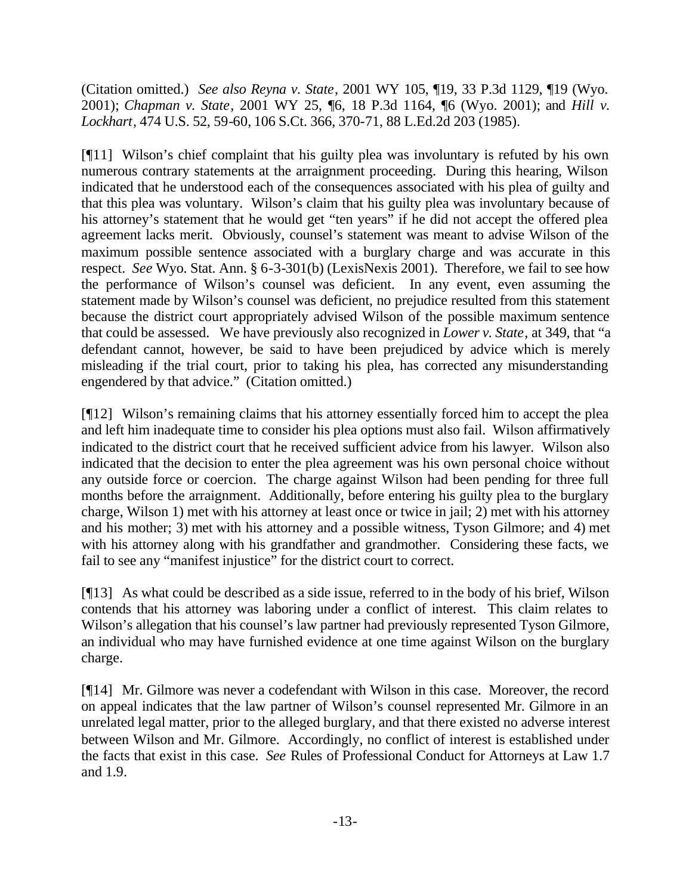(Citation omitted.) *See also Reyna v. State*, 2001 WY 105, ¶19, 33 P.3d 1129, ¶19 (Wyo. 2001); *Chapman v. State*, 2001 WY 25, ¶6, 18 P.3d 1164, ¶6 (Wyo. 2001); and *Hill v. Lockhart*, 474 U.S. 52, 59-60, 106 S.Ct. 366, 370-71, 88 L.Ed.2d 203 (1985).

[¶11] Wilson's chief complaint that his guilty plea was involuntary is refuted by his own numerous contrary statements at the arraignment proceeding. During this hearing, Wilson indicated that he understood each of the consequences associated with his plea of guilty and that this plea was voluntary. Wilson's claim that his guilty plea was involuntary because of his attorney's statement that he would get "ten years" if he did not accept the offered plea agreement lacks merit. Obviously, counsel's statement was meant to advise Wilson of the maximum possible sentence associated with a burglary charge and was accurate in this respect. *See* Wyo. Stat. Ann. § 6-3-301(b) (LexisNexis 2001). Therefore, we fail to see how the performance of Wilson's counsel was deficient. In any event, even assuming the statement made by Wilson's counsel was deficient, no prejudice resulted from this statement because the district court appropriately advised Wilson of the possible maximum sentence that could be assessed. We have previously also recognized in *Lower v. State*, at 349, that "a defendant cannot, however, be said to have been prejudiced by advice which is merely misleading if the trial court, prior to taking his plea, has corrected any misunderstanding engendered by that advice." (Citation omitted.)

[¶12] Wilson's remaining claims that his attorney essentially forced him to accept the plea and left him inadequate time to consider his plea options must also fail. Wilson affirmatively indicated to the district court that he received sufficient advice from his lawyer. Wilson also indicated that the decision to enter the plea agreement was his own personal choice without any outside force or coercion. The charge against Wilson had been pending for three full months before the arraignment. Additionally, before entering his guilty plea to the burglary charge, Wilson 1) met with his attorney at least once or twice in jail; 2) met with his attorney and his mother; 3) met with his attorney and a possible witness, Tyson Gilmore; and 4) met with his attorney along with his grandfather and grandmother. Considering these facts, we fail to see any "manifest injustice" for the district court to correct.

[¶13] As what could be described as a side issue, referred to in the body of his brief, Wilson contends that his attorney was laboring under a conflict of interest. This claim relates to Wilson's allegation that his counsel's law partner had previously represented Tyson Gilmore, an individual who may have furnished evidence at one time against Wilson on the burglary charge.

[¶14] Mr. Gilmore was never a codefendant with Wilson in this case. Moreover, the record on appeal indicates that the law partner of Wilson's counsel represented Mr. Gilmore in an unrelated legal matter, prior to the alleged burglary, and that there existed no adverse interest between Wilson and Mr. Gilmore. Accordingly, no conflict of interest is established under the facts that exist in this case. *See* Rules of Professional Conduct for Attorneys at Law 1.7 and 1.9.